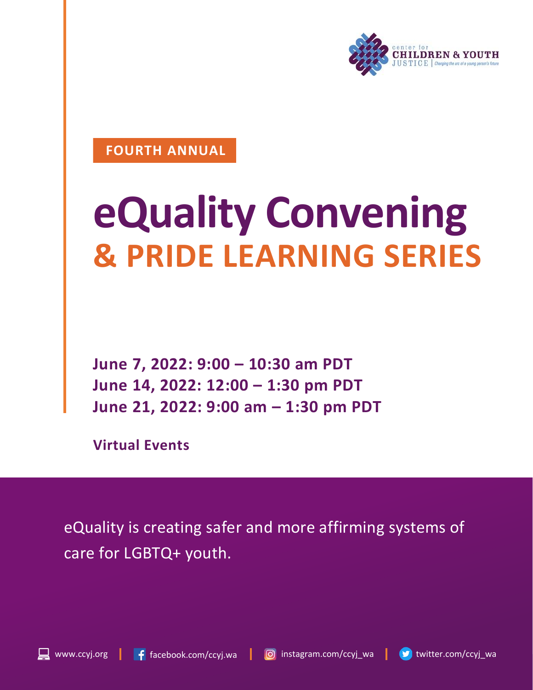

#### **FOURTH ANNUAL**

### **eQuality Convening & PRIDE LEARNING SERIES**

**June 7, 2022: 9:00 – 10:30 am PDT June 14, 2022: 12:00 – 1:30 pm PDT June 21, 2022: 9:00 am – 1:30 pm PDT**

**Virtual Events**

eQuality is creating safer and more affirming systems of care for LGBTQ+ youth.



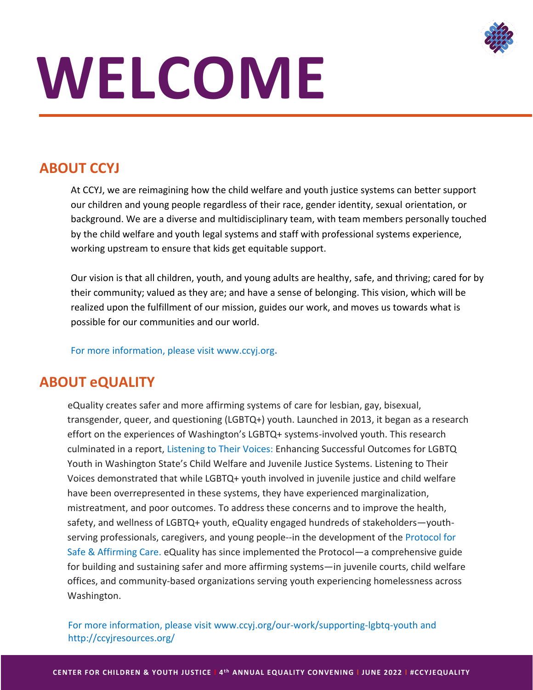

## **WELCOME**

#### **ABOUT CCYJ**

At CCYJ, we are reimagining how the child welfare and youth justice systems can better support our children and young people regardless of their race, gender identity, sexual orientation, or background. We are a diverse and multidisciplinary team, with team members personally touched by the child welfare and youth legal systems and staff with professional systems experience, working upstream to ensure that kids get equitable support.

Our vision is that all children, youth, and young adults are healthy, safe, and thriving; cared for by their community; valued as they are; and have a sense of belonging. This vision, which will be realized upon the fulfillment of our mission, guides our work, and moves us towards what is possible for our communities and our world.

For more information, please visit [www.ccyj.org](http://www.ccyj.org/)**.**

#### **ABOUT eQUALITY**

eQuality creates safer and more affirming systems of care for lesbian, gay, bisexual, transgender, queer, and questioning (LGBTQ+) youth. Launched in 2013, it began as a research effort on the experiences of Washington's LGBTQ+ systems-involved youth. This research culminated in a report, Listening to Their Voices: Enhancing Successful Outcomes for LGBTQ Youth in Washington State's Child Welfare and Juvenile Justice Systems. Listening to Their Voices demonstrated that while LGBTQ+ youth involved in juvenile justice and child welfare have been overrepresented in these systems, they have experienced marginalization, mistreatment, and poor outcomes. To address these concerns and to improve the health, safety, and wellness of LGBTQ+ youth, eQuality engaged hundreds of stakeholders—youthserving professionals, caregivers, and young people--in the development of the Protocol for Safe & Affirming Care. eQuality has since implemented the Protocol—a comprehensive guide for building and sustaining safer and more affirming systems—in juvenile courts, child welfare offices, and community-based organizations serving youth experiencing homelessness across Washington.

For more information, please visit [www.ccyj.org/our-work/supporting-lgbtq-youth](http://www.ccyj.org/our-work/supporting-lgbtq-youth) and http://ccyjresources.org/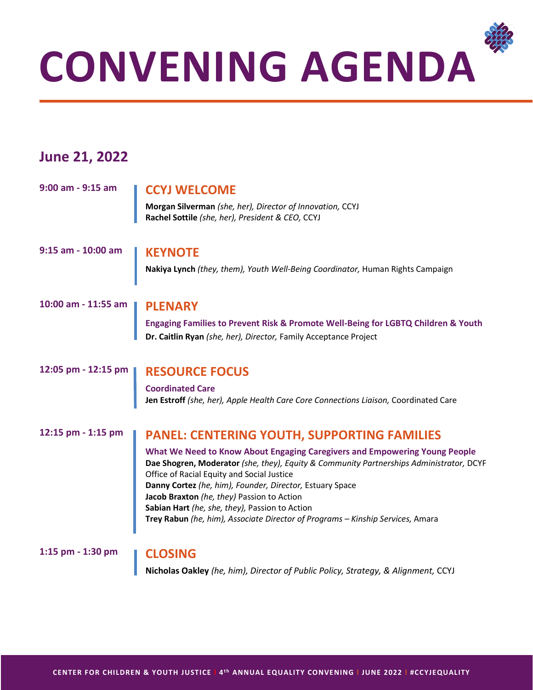

**Morgan Silverman** *(she, her), Director of Innovation,* CCYJ

**CONVENING AGENDA**

**Rachel Sottile** *(she, her), President & CEO,* CCYJ

#### **10:00 am - 11:55 am PLENARY**

**9:00 am - 9:15 am CCYJ WELCOME**

**June 21, 2022**

**Engaging Families to Prevent Risk & Promote Well-Being for LGBTQ Children & Youth Dr. Caitlin Ryan** *(she, her), Director,* Family Acceptance Project

#### **12:05 pm - 12:15 pm RESOURCE FOCUS**

**Coordinated Care Jen Estroff** *(she, her), Apple Health Care Core Connections Liaison,* Coordinated Care

#### **12:15 pm - 1:15 pm PANEL: CENTERING YOUTH, SUPPORTING FAMILIES**

**What We Need to Know About Engaging Caregivers and Empowering Young People Dae Shogren, Moderator** *(she, they), Equity & Community Partnerships Administrator,* DCYF Office of Racial Equity and Social Justice **Danny Cortez** *(he, him), Founder, Director,* Estuary Space **Jacob Braxton** *(he, they)* Passion to Action **Sabian Hart** *(he, she, they),* Passion to Action **Trey Rabun** *(he, him), Associate Director of Programs – Kinship Services,* Amara

**1:15 pm - 1:30 pm CLOSING**

**Nicholas Oakley** *(he, him), Director of Public Policy, Strategy, & Alignment,* CCYJ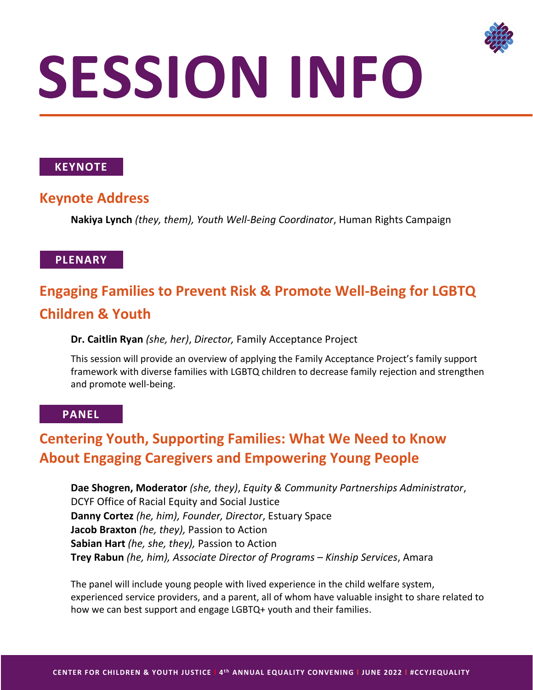

## **SESSION INFO**

#### **KEYNOTE**

#### **Keynote Address**

**Nakiya Lynch** *(they, them), Youth Well-Being Coordinator*, Human Rights Campaign

#### **PLENARY**

#### **Engaging Families to Prevent Risk & Promote Well-Being for LGBTQ Children & Youth**

#### **Dr. Caitlin Ryan** *(she, her)*, *Director,* Family Acceptance Project

This session will provide an overview of applying the Family Acceptance Project's family support framework with diverse families with LGBTQ children to decrease family rejection and strengthen and promote well-being.

#### **PANEL**

#### **Centering Youth, Supporting Families: What We Need to Know About Engaging Caregivers and Empowering Young People**

**Dae Shogren, Moderator** *(she, they)*, *Equity & Community Partnerships Administrator*, DCYF Office of Racial Equity and Social Justice **Danny Cortez** *(he, him), Founder, Director*, Estuary Space **Jacob Braxton** *(he, they),* Passion to Action **Sabian Hart** *(he, she, they),* Passion to Action **Trey Rabun** *(he, him), Associate Director of Programs – Kinship Services*, Amara

The panel will include young people with lived experience in the child welfare system, experienced service providers, and a parent, all of whom have valuable insight to share related to how we can best support and engage LGBTQ+ youth and their families.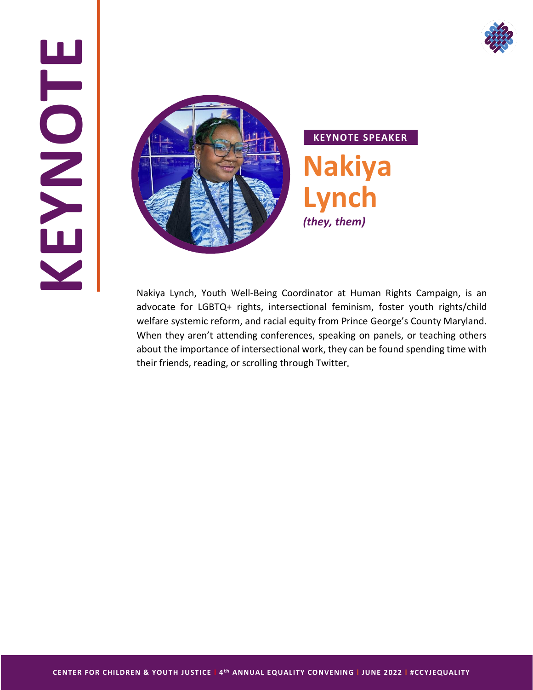

## **KEYNOTE**



Nakiya Lynch, Youth Well-Being Coordinator at Human Rights Campaign, is an advocate for LGBTQ+ rights, intersectional feminism, foster youth rights/child welfare systemic reform, and racial equity from Prince George's County Maryland. When they aren't attending conferences, speaking on panels, or teaching others about the importance of intersectional work, they can be found spending time with their friends, reading, or scrolling through Twitter.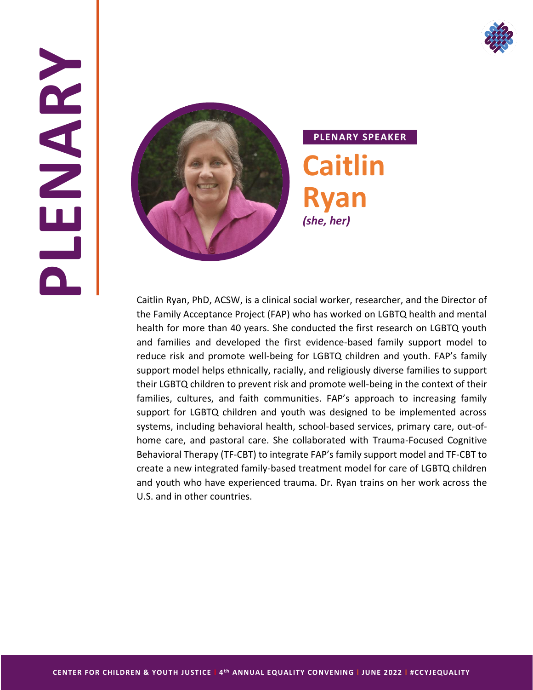

## **PLENARY**



#### **PLENARY SPEAKER Caitlin Ryan** *(she, her)*

Caitlin Ryan, PhD, ACSW, is a clinical social worker, researcher, and the Director of the Family Acceptance Project (FAP) who has worked on LGBTQ health and mental health for more than 40 years. She conducted the first research on LGBTQ youth and families and developed the first evidence-based family support model to reduce risk and promote well-being for LGBTQ children and youth. FAP's family support model helps ethnically, racially, and religiously diverse families to support their LGBTQ children to prevent risk and promote well-being in the context of their families, cultures, and faith communities. FAP's approach to increasing family support for LGBTQ children and youth was designed to be implemented across systems, including behavioral health, school-based services, primary care, out-ofhome care, and pastoral care. She collaborated with Trauma-Focused Cognitive Behavioral Therapy (TF-CBT) to integrate FAP's family support model and TF-CBT to create a new integrated family-based treatment model for care of LGBTQ children and youth who have experienced trauma. Dr. Ryan trains on her work across the U.S. and in other countries.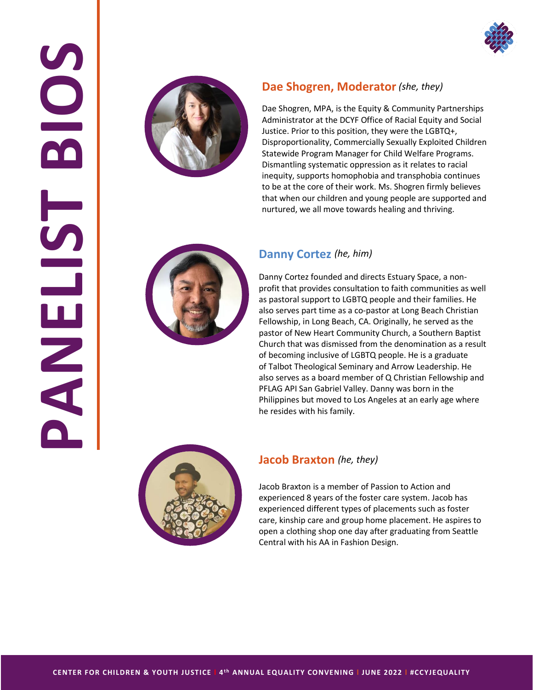





#### **Dae Shogren, Moderator** *(she, they)*

Dae Shogren, MPA, is the Equity & Community Partnerships Administrator at the DCYF Office of Racial Equity and Social Justice. Prior to this position, they were the LGBTQ+, Disproportionality, Commercially Sexually Exploited Children Statewide Program Manager for Child Welfare Programs. Dismantling systematic oppression as it relates to racial inequity, supports homophobia and transphobia continues to be at the core of their work. Ms. Shogren firmly believes that when our children and young people are supported and nurtured, we all move towards healing and thriving.



#### **Danny Cortez** *(he, him)*

Danny Cortez founded and directs Estuary Space, a nonprofit that provides consultation to faith communities as well as pastoral support to LGBTQ people and their families. He also serves part time as a co-pastor at Long Beach Christian Fellowship, in Long Beach, CA. Originally, he served as the pastor of New Heart Community Church, a Southern Baptist Church that was dismissed from the denomination as a result of becoming inclusive of LGBTQ people. He is a graduate of Talbot Theological Seminary and Arrow Leadership. He also serves as a board member of Q Christian Fellowship and PFLAG API San Gabriel Valley. Danny was born in the Philippines but moved to Los Angeles at an early age where he resides with his family.



#### **Jacob Braxton** *(he, they)*

Jacob Braxton is a member of Passion to Action and experienced 8 years of the foster care system. Jacob has experienced different types of placements such as foster care, kinship care and group home placement. He aspires to open a clothing shop one day after graduating from Seattle Central with his AA in Fashion Design.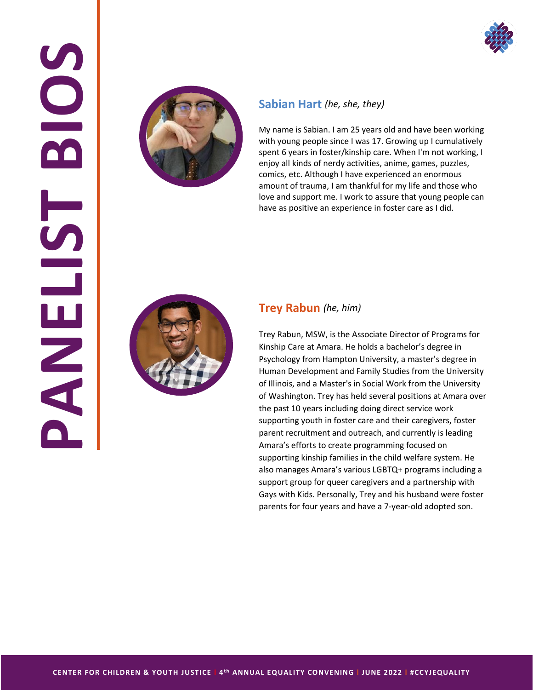

## **PANELIST BIOS**  $\overline{\mathbf{O}}$ M NHTT



#### **Sabian Hart** *(he, she, they)*

My name is Sabian. I am 25 years old and have been working with young people since I was 17. Growing up I cumulatively spent 6 years in foster/kinship care. When I'm not working, I enjoy all kinds of nerdy activities, anime, games, puzzles, comics, etc. Although I have experienced an enormous amount of trauma, I am thankful for my life and those who love and support me. I work to assure that young people can have as positive an experience in foster care as I did.



#### **Trey Rabun** *(he, him)*

Trey Rabun, MSW, is the Associate Director of Programs for Kinship Care at Amara. He holds a bachelor's degree in Psychology from Hampton University, a master's degree in Human Development and Family Studies from the University of Illinois, and a Master's in Social Work from the University of Washington. Trey has held several positions at Amara over the past 10 years including doing direct service work supporting youth in foster care and their caregivers, foster parent recruitment and outreach, and currently is leading Amara's efforts to create programming focused on supporting kinship families in the child welfare system. He also manages Amara's various LGBTQ+ programs including a support group for queer caregivers and a partnership with Gays with Kids. Personally, Trey and his husband were foster parents for four years and have a 7-year-old adopted son.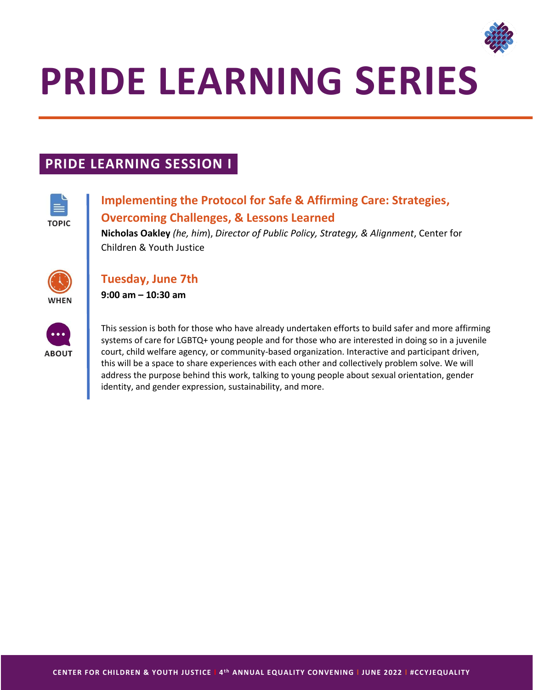

### **PRIDE LEARNING SERIES**

#### **PRIDE LEARNING SESSION I**



#### **Implementing the Protocol for Safe & Affirming Care: Strategies, Overcoming Challenges, & Lessons Learned**

**Nicholas Oakley** *(he, him*), *Director of Public Policy, Strategy, & Alignment*, Center for Children & Youth Justice



#### **Tuesday, June 7th**

**9:00 am – 10:30 am** 



This session is both for those who have already undertaken efforts to build safer and more affirming systems of care for LGBTQ+ young people and for those who are interested in doing so in a juvenile court, child welfare agency, or community-based organization. Interactive and participant driven, this will be a space to share experiences with each other and collectively problem solve. We will address the purpose behind this work, talking to young people about sexual orientation, gender identity, and gender expression, sustainability, and more.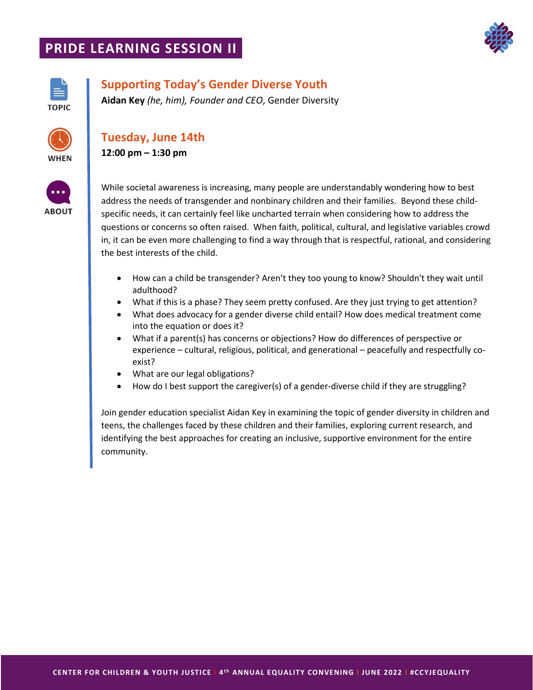#### **PRIDE LEARNING SESSION II**





#### **Supporting Today's Gender Diverse Youth**

**Aidan Key** *(he, him), Founder and CEO*, Gender Diversity



#### **Tuesday, June 14th**

**12:00 pm – 1:30 pm** 



While societal awareness is increasing, many people are understandably wondering how to best address the needs of transgender and nonbinary children and their families. Beyond these childspecific needs, it can certainly feel like uncharted terrain when considering how to address the questions or concerns so often raised. When faith, political, cultural, and legislative variables crowd in, it can be even more challenging to find a way through that is respectful, rational, and considering the best interests of the child.

- How can a child be transgender? Aren't they too young to know? Shouldn't they wait until adulthood?
- What if this is a phase? They seem pretty confused. Are they just trying to get attention?
- What does advocacy for a gender diverse child entail? How does medical treatment come into the equation or does it?
- What if a parent(s) has concerns or objections? How do differences of perspective or experience – cultural, religious, political, and generational – peacefully and respectfully coexist?
- What are our legal obligations?
- How do I best support the caregiver(s) of a gender-diverse child if they are struggling?

Join gender education specialist Aidan Key in examining the topic of gender diversity in children and teens, the challenges faced by these children and their families, exploring current research, and identifying the best approaches for creating an inclusive, supportive environment for the entire community.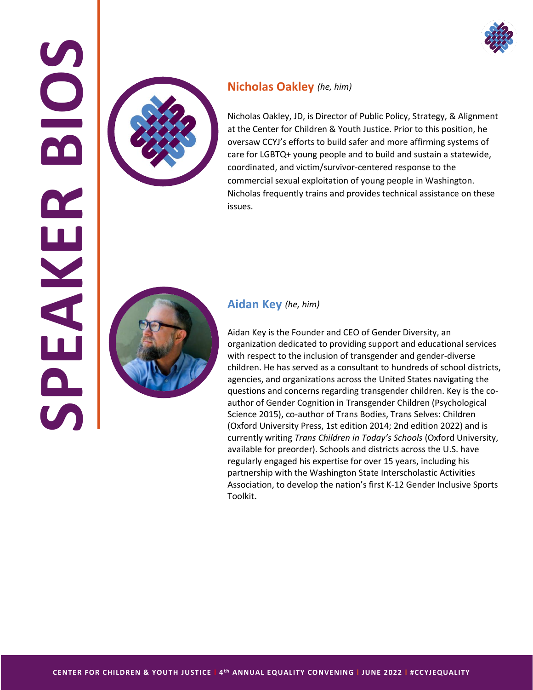



#### **Nicholas Oakley** *(he, him)*

Nicholas Oakley, JD, is Director of Public Policy, Strategy, & Alignment at the Center for Children & Youth Justice. Prior to this position, he oversaw CCYJ's efforts to build safer and more affirming systems of care for LGBTQ+ young people and to build and sustain a statewide, coordinated, and victim/survivor-centered response to the commercial sexual exploitation of young people in Washington. Nicholas frequently trains and provides technical assistance on these issues.



**AKER** 

#### **Aidan Key** *(he, him)*

Aidan Key is the Founder and CEO of Gender Diversity, an organization dedicated to providing support and educational services with respect to the inclusion of transgender and gender-diverse children. He has served as a consultant to hundreds of school districts, agencies, and organizations across the United States navigating the questions and concerns regarding transgender children. Key is the coauthor of Gender Cognition in Transgender Children (Psychological Science 2015), co-author of Trans Bodies, Trans Selves: Children (Oxford University Press, 1st edition 2014; 2nd edition 2022) and is currently writing *[Trans Children in Today's Schools](https://global.oup.com/academic/product/trans-children-in-todays-schools-9780190886547?cc=us&lang=en&)* (Oxford University, available for preorder). Schools and districts across the U.S. have regularly engaged his expertise for over 15 years, including his partnership with the Washington State Interscholastic Activities Association, to develop the nation's first [K-12 Gender Inclusive Sports](https://www.wiaa.com/news.aspx?ID=2787&Mon=6&Yr=2021)  [Toolkit](https://www.wiaa.com/news.aspx?ID=2787&Mon=6&Yr=2021)**.**